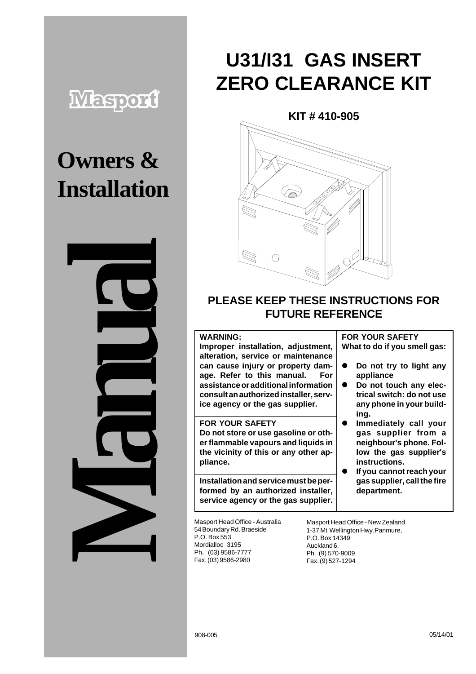# **Maspord**

# **Owners & Installation**



# **U31/I31 GAS INSERT ZERO CLEARANCE KIT**

**KIT # 410-905**



### **PLEASE KEEP THESE INSTRUCTIONS FOR FUTURE REFERENCE**

#### **WARNING:**

**Improper installation, adjustment, alteration, service or maintenance can cause injury or property damage. Refer to this manual. For assistance or additional information consult an authorized installer, service agency or the gas supplier.**

**FOR YOUR SAFETY Do not store or use gasoline or other flammable vapours and liquids in the vicinity of this or any other appliance.**

**Installation and service must be performed by an authorized installer, service agency or the gas supplier.**

#### **FOR YOUR SAFETY What to do if you smell gas:**

- **•** Do not try to light any **appliance**
- $\bullet$  Do not touch any elec**trical switch: do not use any phone in your building.**
- $\bullet$  Immediately call your **gas supplier from a neighbour's phone. Follow the gas supplier's instructions.**
- ! **If you cannot reach your gas supplier, call the fire department.**

54 Boundary Rd. Braeside P.O. Box 553 Mordialloc 3195 Ph. (03) 9586-7777 Fax. (03) 9586-2980

Masport Head Office - New Zealand 1-37 Mt Wellington Hwy.Panmure, P.O. Box 14349 Auckland 6. Ph. (9) 570-9009 Fax. (9) 527-1294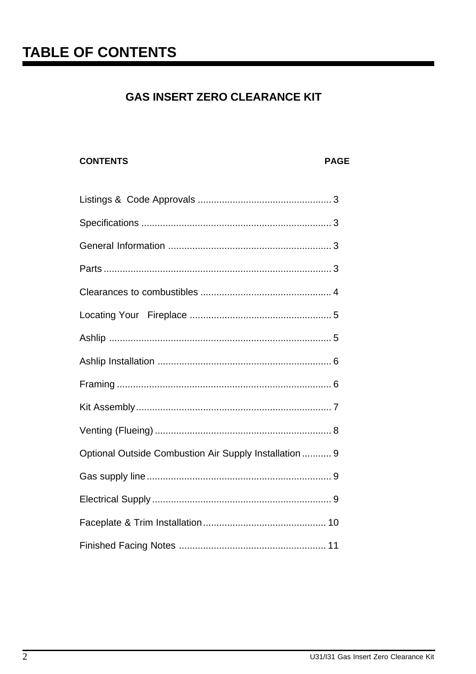# **TABLE OF CONTENTS**

## **GAS INSERT ZERO CLEARANCE KIT**

#### **CONTENTS**

#### **PAGE**

| Optional Outside Combustion Air Supply Installation  9 |
|--------------------------------------------------------|
|                                                        |
|                                                        |
|                                                        |
|                                                        |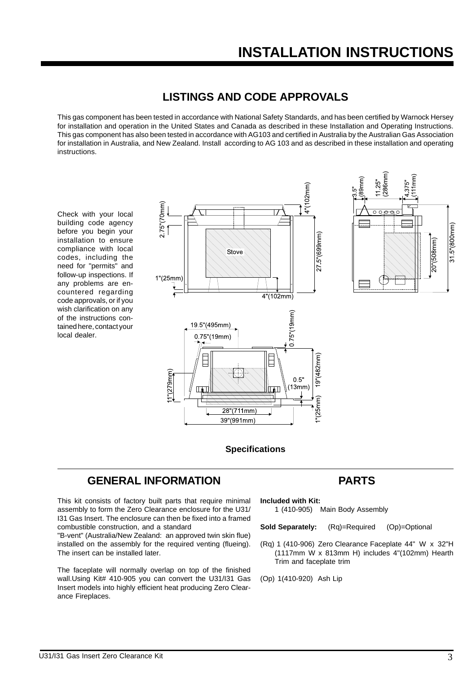#### **LISTINGS AND CODE APPROVALS**

This gas component has been tested in accordance with National Safety Standards, and has been certified by Warnock Hersey for installation and operation in the United States and Canada as described in these Installation and Operating Instructions. This gas component has also been tested in accordance with AG103 and certified in Australia by the Australian Gas Association for installation in Australia, and New Zealand. Install according to AG 103 and as described in these installation and operating instructions.

Check with your local building code agency before you begin your installation to ensure compliance with local codes, including the need for "permits" and follow-up inspections. If any problems are encountered regarding code approvals, or if you wish clarification on any of the instructions contained here, contact your local dealer.





#### **Specifications**

#### **GENERAL INFORMATION**

This kit consists of factory built parts that require minimal assembly to form the Zero Clearance enclosure for the U31/ I31 Gas Insert. The enclosure can then be fixed into a framed combustible construction, and a standard

"B-vent" (Australia/New Zealand: an approved twin skin flue) installed on the assembly for the required venting (flueing). The insert can be installed later.

The faceplate will normally overlap on top of the finished wall.Using Kit# 410-905 you can convert the U31/I31 Gas Insert models into highly efficient heat producing Zero Clearance Fireplaces.

### **PARTS**

**Included with Kit:**

1 (410-905) Main Body Assembly

**Sold Separately:** (Rq)=Required (Op)=Optional

- (Rq) 1 (410-906) Zero Clearance Faceplate 44" W x 32"H (1117mm W x 813mm H) includes 4"(102mm) Hearth Trim and faceplate trim
- (Op) 1(410-920) Ash Lip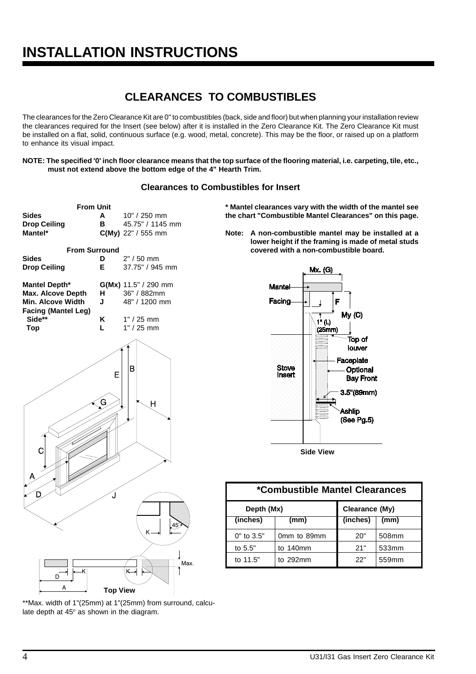## **CLEARANCES TO COMBUSTIBLES**

The clearances for the Zero Clearance Kit are 0" to combustibles (back, side and floor) but when planning your installation review the clearances required for the Insert (see below) after it is installed in the Zero Clearance Kit. The Zero Clearance Kit must be installed on a flat, solid, continuous surface (e.g. wood, metal, concrete). This may be the floor, or raised up on a platform to enhance its visual impact.

**NOTE: The specified '0' inch floor clearance means that the top surface of the flooring material, i.e. carpeting, tile, etc., must not extend above the bottom edge of the 4" Hearth Trim.**

#### **Clearances to Combustibles for Insert**



\*\*Max. width of 1"(25mm) at 1"(25mm) from surround, calculate depth at  $45^{\circ}$  as shown in the diagram.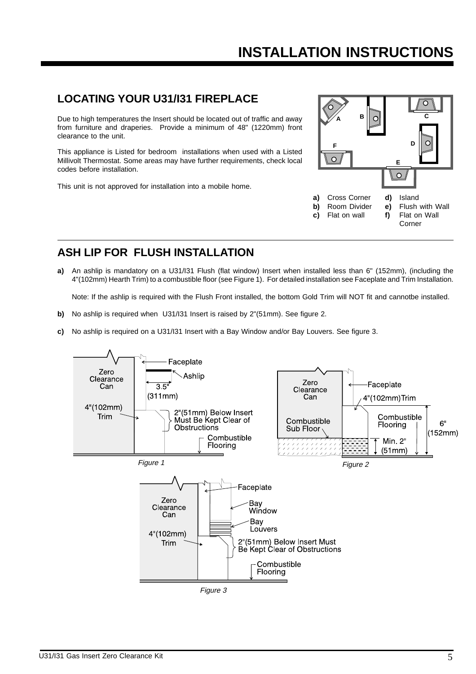#### **LOCATING YOUR U31/I31 FIREPLACE**

Due to high temperatures the Insert should be located out of traffic and away from furniture and draperies. Provide a minimum of 48" (1220mm) front clearance to the unit.

This appliance is Listed for bedroom installations when used with a Listed Millivolt Thermostat. Some areas may have further requirements, check local codes before installation.

This unit is not approved for installation into a mobile home.



### **ASH LIP FOR FLUSH INSTALLATION**

**a)** An ashlip is mandatory on a U31/I31 Flush (flat window) Insert when installed less than 6" (152mm), (including the 4"(102mm) Hearth Trim) to a combustible floor (see Figure 1). For detailed installation see Faceplate and Trim Installation.

Note: If the ashlip is required with the Flush Front installed, the bottom Gold Trim will NOT fit and cannotbe installed.

- **b)** No ashlip is required when U31/I31 Insert is raised by 2"(51mm). See figure 2.
- **c)** No ashlip is required on a U31/I31 Insert with a Bay Window and/or Bay Louvers. See figure 3.

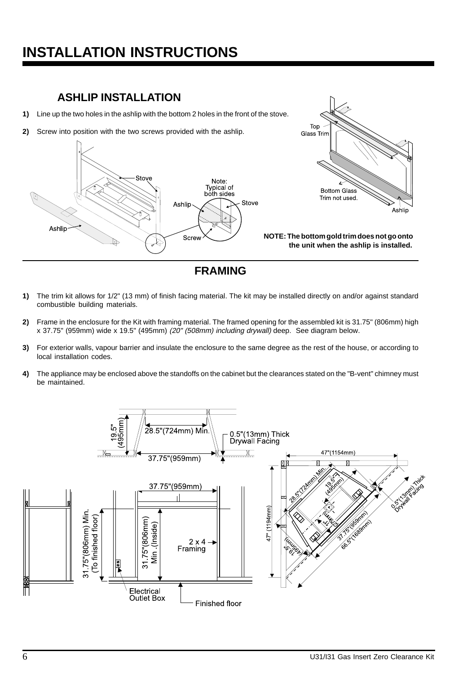## **ASHLIP INSTALLATION**

- **1)** Line up the two holes in the ashlip with the bottom 2 holes in the front of the stove.
- **2)** Screw into position with the two screws provided with the ashlip.



Top



- **1)** The trim kit allows for 1/2" (13 mm) of finish facing material. The kit may be installed directly on and/or against standard combustible building materials.
- **2)** Frame in the enclosure for the Kit with framing material. The framed opening for the assembled kit is 31.75" (806mm) high x 37.75" (959mm) wide x 19.5" (495mm) (20" (508mm) including drywall) deep. See diagram below.
- **3)** For exterior walls, vapour barrier and insulate the enclosure to the same degree as the rest of the house, or according to local installation codes.
- **4)** The appliance may be enclosed above the standoffs on the cabinet but the clearances stated on the "B-vent" chimney must be maintained.

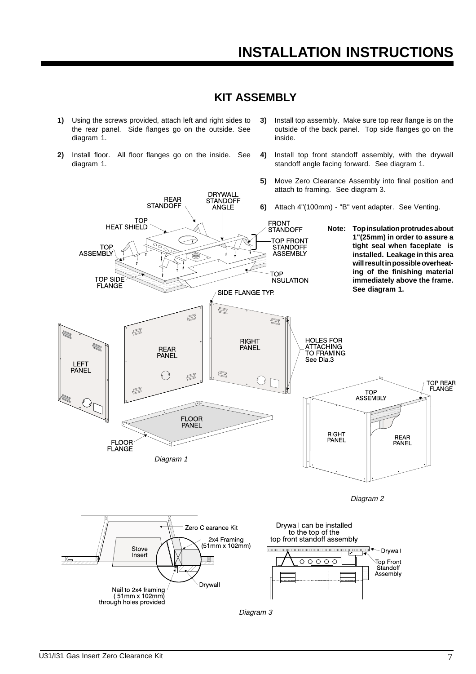#### **KIT ASSEMBLY**

DRYWALL<br>STANDOFF

ANGLE

- **1)** Using the screws provided, attach left and right sides to the rear panel. Side flanges go on the outside. See diagram 1.
- **2)** Install floor. All floor flanges go on the inside. See diagram 1.

REAR<br>STANDOFF

- **3)** Install top assembly. Make sure top rear flange is on the outside of the back panel. Top side flanges go on the inside.
- **4)** Install top front standoff assembly, with the drywall standoff angle facing forward. See diagram 1.
- **5)** Move Zero Clearance Assembly into final position and attach to framing. See diagram 3.
- **6)** Attach 4"(100mm) "B" vent adapter. See Venting.
- TOP<br>HEAT SHIELD FRONT<br>STANDOFF **Note: Top insulation protrudes about 1"(25mm) in order to assure a TOP FRONT tight seal when faceplate is** STANDOFF **TOP ASSEMBLY installed. Leakage in this area will result in possible overheating of the finishing material TOP** TOP SIDE<br>FLANGE **INSULATION immediately above the frame. See diagram 1.**SIDE FLANGE TYP. Ø Ø  $\bigotimes$ Ø S **HOLES FOR**<br>ATTACHING **RIGHT** REAR<br>PANEL **PANEL** TO FRAMING See Dia 3 LEFT **PANEL** Ø  $\bigotimes$  $\{ \}$  $\bigodot$ TOP REAR<br>FLANGE TOP<br>ASSEMBLY **FLOOR** PANEL **RIGHT** REAR<br>PANEL PANEL **FLOOR FLANGE** Diagram 1 Diagram 2 Drywall can be installed Zero Clearance Kit to the top of the top front standoff assembly 2x4 Framing (51mm x 102mm) Stove 庇 Drywall **Insert**  $\mathbb{R}$ M  $\overline{O}$   $\overline{O}$   $\overline{O}$   $\overline{O}$ Top Front  $\overline{C}$ Standoff Assembly Drvwall Nail to 2x4 framing<br>(51mm x 102mm) through holes provided

Diagram 3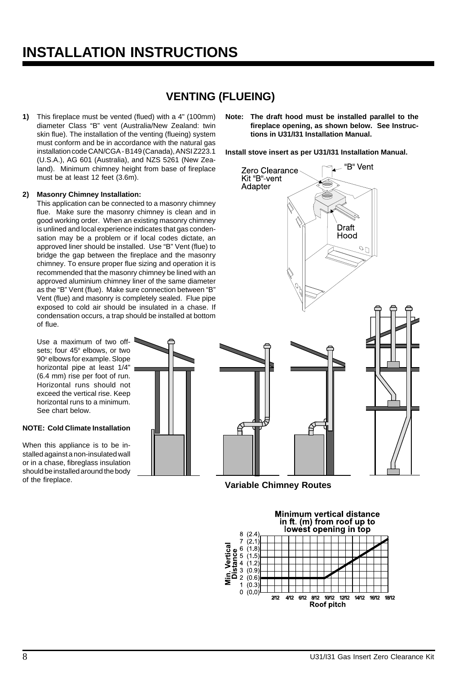## **VENTING (FLUEING)**

**1)** This fireplace must be vented (flued) with a 4" (100mm) diameter Class "B" vent (Australia/New Zealand: twin skin flue). The installation of the venting (flueing) system must conform and be in accordance with the natural gas installation code CAN/CGA - B149 (Canada), ANSI Z223.1 (U.S.A.), AG 601 (Australia), and NZS 5261 (New Zealand). Minimum chimney height from base of fireplace must be at least 12 feet (3.6m).

#### **2) Masonry Chimney Installation:**

This application can be connected to a masonry chimney flue. Make sure the masonry chimney is clean and in good working order. When an existing masonry chimney is unlined and local experience indicates that gas condensation may be a problem or if local codes dictate, an approved liner should be installed. Use "B" Vent (flue) to bridge the gap between the fireplace and the masonry chimney. To ensure proper flue sizing and operation it is recommended that the masonry chimney be lined with an approved aluminium chimney liner of the same diameter as the "B" Vent (flue). Make sure connection between "B" Vent (flue) and masonry is completely sealed. Flue pipe exposed to cold air should be insulated in a chase. If condensation occurs, a trap should be installed at bottom of flue.

Use a maximum of two offsets; four 45° elbows, or two 90° elbows for example. Slope horizontal pipe at least 1/4" (6.4 mm) rise per foot of run. Horizontal runs should not exceed the vertical rise. Keep horizontal runs to a minimum. See chart below.

#### **NOTE: Cold Climate Installation**

When this appliance is to be installed against a non-insulated wall or in a chase, fibreglass insulation should be installed around the body of the fireplace.



**Note: The draft hood must be installed parallel to the fireplace opening, as shown below. See Instructions in U31/I31 Installation Manual.**

**Install stove insert as per U31/I31 Installation Manual.**



**Variable Chimney Routes**

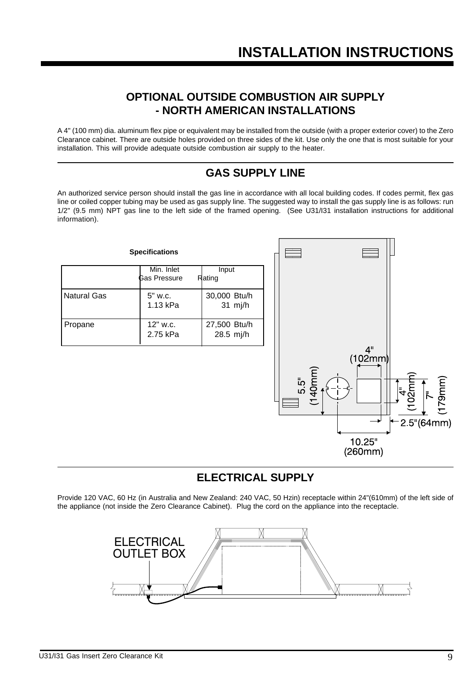#### **OPTIONAL OUTSIDE COMBUSTION AIR SUPPLY - NORTH AMERICAN INSTALLATIONS**

A 4" (100 mm) dia. aluminum flex pipe or equivalent may be installed from the outside (with a proper exterior cover) to the Zero Clearance cabinet. There are outside holes provided on three sides of the kit. Use only the one that is most suitable for your installation. This will provide adequate outside combustion air supply to the heater.

## **GAS SUPPLY LINE**

An authorized service person should install the gas line in accordance with all local building codes. If codes permit, flex gas line or coiled copper tubing may be used as gas supply line. The suggested way to install the gas supply line is as follows: run 1/2" (9.5 mm) NPT gas line to the left side of the framed opening. (See U31/I31 installation instructions for additional information).



### **ELECTRICAL SUPPLY**

Provide 120 VAC, 60 Hz (in Australia and New Zealand: 240 VAC, 50 Hzin) receptacle within 24"(610mm) of the left side of the appliance (not inside the Zero Clearance Cabinet). Plug the cord on the appliance into the receptacle.

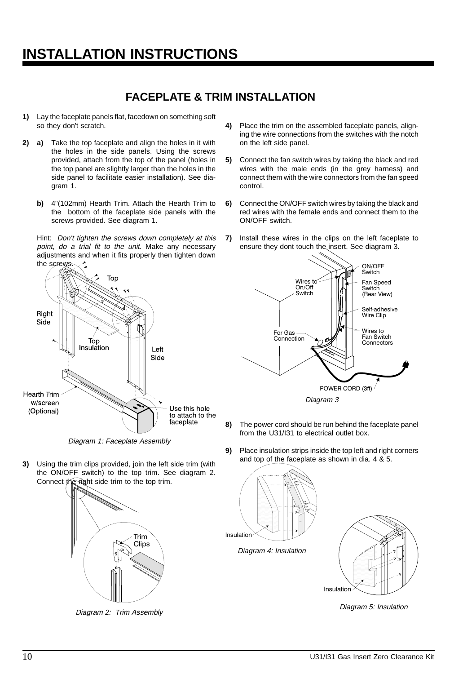#### **FACEPLATE & TRIM INSTALLATION**

- **1)** Lay the faceplate panels flat, facedown on something soft so they don't scratch.
- **2) a)** Take the top faceplate and align the holes in it with the holes in the side panels. Using the screws provided, attach from the top of the panel (holes in the top panel are slightly larger than the holes in the side panel to facilitate easier installation). See diagram 1.
	- **b)** 4"(102mm) Hearth Trim. Attach the Hearth Trim to the bottom of the faceplate side panels with the screws provided. See diagram 1.

Hint: Don't tighten the screws down completely at this point, do a trial fit to the unit. Make any necessary adjustments and when it fits properly then tighten down the sc



Diagram 1: Faceplate Assembly

**3)** Using the trim clips provided, join the left side trim (with the ON/OFF switch) to the top trim. See diagram 2. Connect the right side trim to the top trim.



Diagram 2: Trim Assembly

- **4)** Place the trim on the assembled faceplate panels, aligning the wire connections from the switches with the notch on the left side panel.
- **5)** Connect the fan switch wires by taking the black and red wires with the male ends (in the grey harness) and connect them with the wire connectors from the fan speed control.
- **6)** Connect the ON/OFF switch wires by taking the black and red wires with the female ends and connect them to the ON/OFF switch.
- **7)** Install these wires in the clips on the left faceplate to ensure they dont touch the insert. See diagram 3.



- **8)** The power cord should be run behind the faceplate panel from the U31/I31 to electrical outlet box.
- **9)** Place insulation strips inside the top left and right corners and top of the faceplate as shown in dia. 4 & 5.





Diagram 5: Insulation